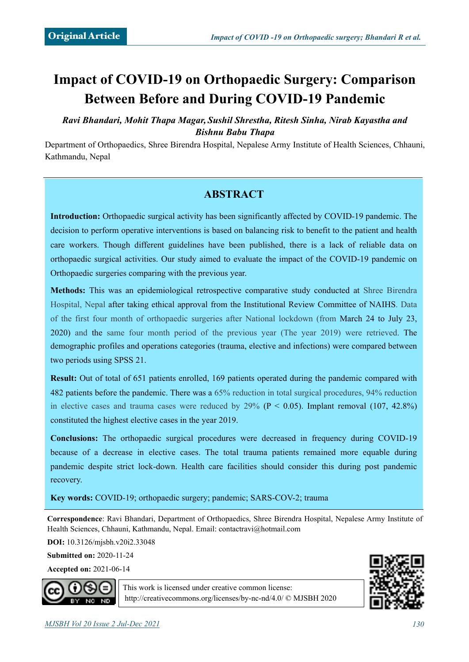# **Impact of COVID-19 on Orthopaedic Surgery: Comparison Between Before and During COVID-19 Pandemic**

*Ravi Bhandari, Mohit Thapa Magar, Sushil Shrestha, Ritesh Sinha, Nirab Kayastha and Bishnu Babu Thapa*

Department of Orthopaedics, Shree Birendra Hospital, Nepalese Army Institute of Health Sciences, Chhauni, Kathmandu, Nepal

# **ABSTRACT**

**Introduction:** Orthopaedic surgical activity has been significantly affected by COVID-19 pandemic. The decision to perform operative interventions is based on balancing risk to benefit to the patient and health care workers. Though different guidelines have been published, there is a lack of reliable data on orthopaedic surgical activities. Our study aimed to evaluate the impact of the COVID-19 pandemic on Orthopaedic surgeries comparing with the previous year.

**Methods:** This was an epidemiological retrospective comparative study conducted at Shree Birendra Hospital, Nepal after taking ethical approval from the Institutional Review Committee of NAIHS. Data of the first four month of orthopaedic surgeries after National lockdown (from March 24 to July 23, 2020) and the same four month period of the previous year (The year 2019) were retrieved. The demographic profiles and operations categories (trauma, elective and infections) were compared between two periods using SPSS 21.

**Result:** Out of total of 651 patients enrolled, 169 patients operated during the pandemic compared with 482 patients before the pandemic. There was a 65% reduction in total surgical procedures, 94% reduction in elective cases and trauma cases were reduced by 29% ( $P < 0.05$ ). Implant removal (107, 42.8%) constituted the highest elective cases in the year 2019.

**Conclusions:** The orthopaedic surgical procedures were decreased in frequency during COVID-19 because of a decrease in elective cases. The total trauma patients remained more equable during pandemic despite strict lock-down. Health care facilities should consider this during post pandemic recovery.

**Key words:** COVID-19; orthopaedic surgery; pandemic; SARS-COV-2; trauma

**Correspondence**: Ravi Bhandari, Department of Orthopaedics, Shree Birendra Hospital, Nepalese Army Institute of Health Sciences, Chhauni, Kathmandu, Nepal. Email: [contactravi@hotmail.com](mailto:contactravi@hotmail.com)

**DOI:** 10.3126/mjsbh.v20i2.33048

**Submitted on:** 2020-11-24

**Accepted on:** 2021-06-14



This work is licensed under creative common license: <http://creativecommons.org/licenses/by-nc-nd/4.0/>© MJSBH 2020

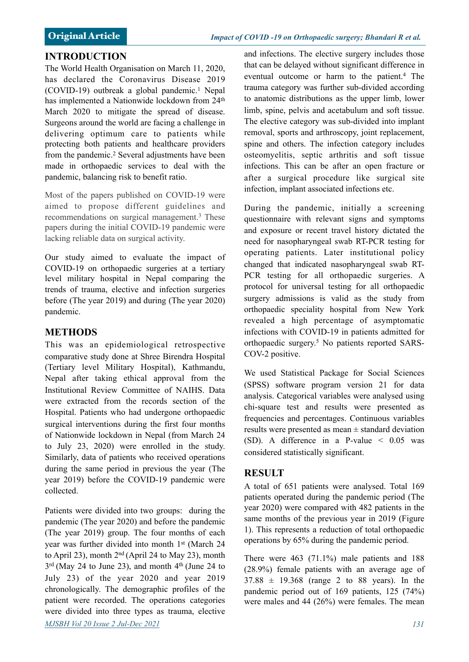### **INTRODUCTION**

The World Health Organisation on March 11, 2020, has declared the Coronavirus Disease 2019 (COVID-19) outbreak a global pandemic.1 Nepal has implemented a Nationwide lockdown from 24th March 2020 to mitigate the spread of disease. Surgeons around the world are facing a challenge in delivering optimum care to patients while protecting both patients and healthcare providers from the pandemic.<sup>2</sup> Several adjustments have been made in orthopaedic services to deal with the pandemic, balancing risk to benefit ratio.

Most of the papers published on COVID-19 were aimed to propose different guidelines and recommendations on surgical management.3 These papers during the initial COVID-19 pandemic were lacking reliable data on surgical activity.

Our study aimed to evaluate the impact of COVID-19 on orthopaedic surgeries at a tertiary level military hospital in Nepal comparing the trends of trauma, elective and infection surgeries before (The year 2019) and during (The year 2020) pandemic.

#### **METHODS**

This was an epidemiological retrospective comparative study done at Shree Birendra Hospital (Tertiary level Military Hospital), Kathmandu, Nepal after taking ethical approval from the Institutional Review Committee of NAIHS. Data were extracted from the records section of the Hospital. Patients who had undergone orthopaedic surgical interventions during the first four months of Nationwide lockdown in Nepal (from March 24 to July 23, 2020) were enrolled in the study. Similarly, data of patients who received operations during the same period in previous the year (The year 2019) before the COVID-19 pandemic were collected.

Patients were divided into two groups: during the pandemic (The year 2020) and before the pandemic (The year 2019) group. The four months of each year was further divided into month 1<sup>st</sup> (March 24 to April 23), month  $2<sup>nd</sup>$  (April 24 to May 23), month  $3<sup>rd</sup>$  (May 24 to June 23), and month  $4<sup>th</sup>$  (June 24 to July 23) of the year 2020 and year 2019 chronologically. The demographic profiles of the patient were recorded. The operations categories were divided into three types as trauma, elective *MJSBH Vol 20 Issue 2 Jul-Dec 2021 131*

and infections. The elective surgery includes those that can be delayed without significant difference in eventual outcome or harm to the patient.4 The trauma category was further sub-divided according to anatomic distributions as the upper limb, lower limb, spine, pelvis and acetabulum and soft tissue. The elective category was sub-divided into implant removal, sports and arthroscopy, joint replacement, spine and others. The infection category includes osteomyelitis, septic arthritis and soft tissue infections. This can be after an open fracture or after a surgical procedure like surgical site infection, implant associated infections etc.

During the pandemic, initially a screening questionnaire with relevant signs and symptoms and exposure or recent travel history dictated the need for nasopharyngeal swab RT-PCR testing for operating patients. Later institutional policy changed that indicated nasopharyngeal swab RT-PCR testing for all orthopaedic surgeries. A protocol for universal testing for all orthopaedic surgery admissions is valid as the study from orthopaedic speciality hospital from New York revealed a high percentage of asymptomatic infections with COVID-19 in patients admitted for orthopaedic surgery.5 No patients reported SARS-COV-2 positive.

We used Statistical Package for Social Sciences (SPSS) software program version 21 for data analysis. Categorical variables were analysed using chi-square test and results were presented as frequencies and percentages. Continuous variables results were presented as mean ± standard deviation (SD). A difference in a P-value < 0.05 was considered statistically significant.

## **RESULT**

A total of 651 patients were analysed. Total 169 patients operated during the pandemic period (The year 2020) were compared with 482 patients in the same months of the previous year in 2019 (Figure 1). This represents a reduction of total orthopaedic operations by 65% during the pandemic period.

There were 463 (71.1%) male patients and 188 (28.9%) female patients with an average age of  $37.88 \pm 19.368$  (range 2 to 88 years). In the pandemic period out of 169 patients, 125 (74%) were males and 44 (26%) were females. The mean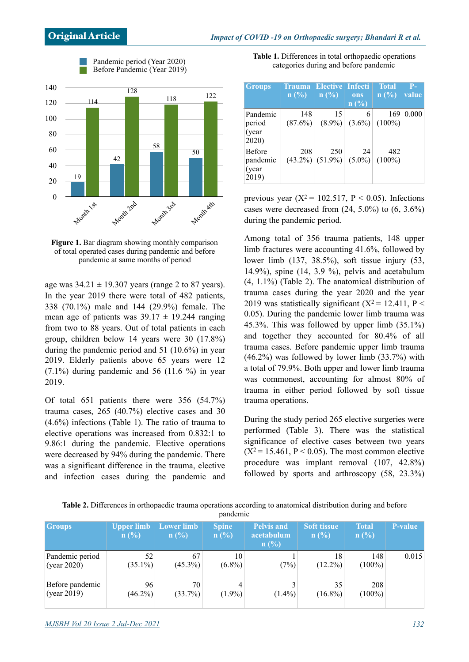

Pandemic period (Year 2020)

**Figure 1.** Bar diagram showing monthly comparison of total operated cases during pandemic and before pandemic at same months of period

age was  $34.21 \pm 19.307$  years (range 2 to 87 years). In the year 2019 there were total of 482 patients, 338 (70.1%) male and 144 (29.9%) female. The mean age of patients was  $39.17 \pm 19.244$  ranging from two to 88 years. Out of total patients in each group, children below 14 years were 30 (17.8%) during the pandemic period and 51 (10.6%) in year 2019. Elderly patients above 65 years were 12  $(7.1\%)$  during pandemic and 56 (11.6 %) in year 2019.

Of total 651 patients there were 356 (54.7%) trauma cases, 265 (40.7%) elective cases and 30 (4.6%) infections (Table 1). The ratio of trauma to elective operations was increased from 0.832:1 to 9.86:1 during the pandemic. Elective operations were decreased by 94% during the pandemic. There was a significant difference in the trauma, elective and infection cases during the pandemic and

**Table 1.** Differences in total orthopaedic operations categories during and before pandemic

| <b>Groups</b>                                | Trauma<br>$\ln$ (%) | <b>Elective Infecti</b><br>$\ln$ (%)             | ons<br>n(%) | <b>Total</b><br>n(%                  | $P-$<br>value |
|----------------------------------------------|---------------------|--------------------------------------------------|-------------|--------------------------------------|---------------|
| Pandemic<br>period<br>(year<br>2020)         | 148<br>$(87.6\%)$   | 15                                               | 6           | 169<br>$(8.9\%)$ $(3.6\%)$ $(100\%)$ | 0.000         |
| <b>Before</b><br>pandemic<br>(year)<br>2019) | 208                 | 250<br>$(43.2\%)$ $(51.9\%)$ $(5.0\%)$ $(100\%)$ | 24          | 482                                  |               |

previous year  $(X^2 = 102.517, P \le 0.05)$ . Infections cases were decreased from  $(24, 5.0\%)$  to  $(6, 3.6\%)$ during the pandemic period.

Among total of 356 trauma patients, 148 upper limb fractures were accounting 41.6%, followed by lower limb (137, 38.5%), soft tissue injury (53, 14.9%), spine (14, 3.9 %), pelvis and acetabulum (4, 1.1%) (Table 2). The anatomical distribution of trauma cases during the year 2020 and the year 2019 was statistically significant  $(X^2 = 12.411, P <$ 0.05). During the pandemic lower limb trauma was 45.3%. This was followed by upper limb (35.1%) and together they accounted for 80.4% of all trauma cases. Before pandemic upper limb trauma  $(46.2\%)$  was followed by lower limb  $(33.7\%)$  with a total of 79.9%. Both upper and lower limb trauma was commonest, accounting for almost 80% of trauma in either period followed by soft tissue trauma operations.

During the study period 265 elective surgeries were performed (Table 3). There was the statistical significance of elective cases between two years  $(X^2 = 15.461, P < 0.05)$ . The most common elective procedure was implant removal (107, 42.8%) followed by sports and arthroscopy (58, 23.3%)

| Table 2. Differences in orthopaedic trauma operations according to anatomical distribution during and before |          |  |  |  |
|--------------------------------------------------------------------------------------------------------------|----------|--|--|--|
|                                                                                                              | pandemic |  |  |  |

| <b>Groups</b>                  | <b>Upper limb</b><br>n(%) | Lower limb<br>n(%) | <b>Spine</b><br>n(%) | <b>Pelvis and</b><br>acetabulum<br>n(%) | <b>Soft tissue</b><br>n(%) | <b>Total</b><br>n(%) | <b>P-value</b> |
|--------------------------------|---------------------------|--------------------|----------------------|-----------------------------------------|----------------------------|----------------------|----------------|
| Pandemic period<br>(year 2020) | 52<br>$(35.1\%)$          | 67<br>$(45.3\%)$   | 10<br>$(6.8\%)$      | (7%)                                    | 18<br>$(12.2\%)$           | 148<br>$(100\%)$     | 0.015          |
| Before pandemic<br>(year 2019) | 96<br>$(46.2\%)$          | 70<br>$(33.7\%)$   | 4<br>$(1.9\%)$       | $(1.4\%)$                               | 35<br>$(16.8\%)$           | 208<br>$(100\%)$     |                |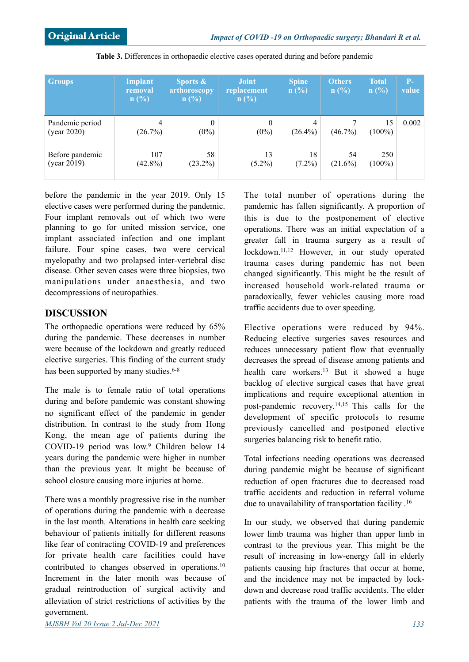| <b>Groups</b>                  | Implant<br>removal<br>n(%) | Sports $\&$<br>arthoroscopy<br>n(%) | <b>Joint</b><br>replacement<br>n(%) | <b>Spine</b><br>n(%) | <b>Others</b><br>n(%) | <b>Total</b><br>n(%) | $P-$<br>value |
|--------------------------------|----------------------------|-------------------------------------|-------------------------------------|----------------------|-----------------------|----------------------|---------------|
| Pandemic period<br>(year 2020) | 4<br>(26.7%)               | $\theta$<br>$(0\%)$                 | $\mathbf{0}$<br>$(0\%)$             | $(26.4\%)$           | $(46.7\%)$            | 15<br>$(100\%)$      | 0.002         |
| Before pandemic<br>(year 2019) | 107<br>$(42.8\%)$          | 58<br>$(23.2\%)$                    | 13<br>$(5.2\%)$                     | 18<br>$(7.2\%)$      | 54<br>$(21.6\%)$      | 250<br>$(100\%)$     |               |

**Table 3.** Differences in orthopaedic elective cases operated during and before pandemic

before the pandemic in the year 2019. Only 15 elective cases were performed during the pandemic. Four implant removals out of which two were planning to go for united mission service, one implant associated infection and one implant failure. Four spine cases, two were cervical myelopathy and two prolapsed inter-vertebral disc disease. Other seven cases were three biopsies, two manipulations under anaesthesia, and two decompressions of neuropathies.

### **DISCUSSION**

The orthopaedic operations were reduced by 65% during the pandemic. These decreases in number were because of the lockdown and greatly reduced elective surgeries. This finding of the current study has been supported by many studies.<sup>6-8</sup>

The male is to female ratio of total operations during and before pandemic was constant showing no significant effect of the pandemic in gender distribution. In contrast to the study from Hong Kong, the mean age of patients during the COVID-19 period was low.9 Children below 14 years during the pandemic were higher in number than the previous year. It might be because of school closure causing more injuries at home.

There was a monthly progressive rise in the number of operations during the pandemic with a decrease in the last month. Alterations in health care seeking behaviour of patients initially for different reasons like fear of contracting COVID-19 and preferences for private health care facilities could have contributed to changes observed in operations.10 Increment in the later month was because of gradual reintroduction of surgical activity and alleviation of strict restrictions of activities by the government.

The total number of operations during the pandemic has fallen significantly. A proportion of this is due to the postponement of elective operations. There was an initial expectation of a greater fall in trauma surgery as a result of lockdown.11,12 However, in our study operated trauma cases during pandemic has not been changed significantly. This might be the result of increased household work-related trauma or paradoxically, fewer vehicles causing more road traffic accidents due to over speeding.

Elective operations were reduced by 94%. Reducing elective surgeries saves resources and reduces unnecessary patient flow that eventually decreases the spread of disease among patients and health care workers.<sup>13</sup> But it showed a huge backlog of elective surgical cases that have great implications and require exceptional attention in post-pandemic recovery.14,15 This calls for the development of specific protocols to resume previously cancelled and postponed elective surgeries balancing risk to benefit ratio.

Total infections needing operations was decreased during pandemic might be because of significant reduction of open fractures due to decreased road traffic accidents and reduction in referral volume due to unavailability of transportation facility .16

In our study, we observed that during pandemic lower limb trauma was higher than upper limb in contrast to the previous year. This might be the result of increasing in low-energy fall in elderly patients causing hip fractures that occur at home, and the incidence may not be impacted by lockdown and decrease road traffic accidents. The elder patients with the trauma of the lower limb and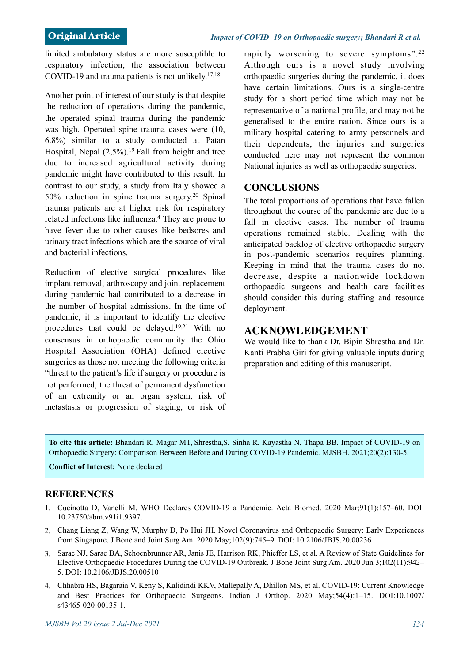limited ambulatory status are more susceptible to respiratory infection; the association between COVID-19 and trauma patients is not unlikely.17,18

Another point of interest of our study is that despite the reduction of operations during the pandemic, the operated spinal trauma during the pandemic was high. Operated spine trauma cases were (10, 6.8%) similar to a study conducted at Patan Hospital, Nepal  $(2.5\%)$ <sup>19</sup> Fall from height and tree due to increased agricultural activity during pandemic might have contributed to this result. In contrast to our study, a study from Italy showed a 50% reduction in spine trauma surgery.20 Spinal trauma patients are at higher risk for respiratory related infections like influenza.4 They are prone to have fever due to other causes like bedsores and urinary tract infections which are the source of viral and bacterial infections.

Reduction of elective surgical procedures like implant removal, arthroscopy and joint replacement during pandemic had contributed to a decrease in the number of hospital admissions. In the time of pandemic, it is important to identify the elective procedures that could be delayed.19,21 With no consensus in orthopaedic community the Ohio Hospital Association (OHA) defined elective surgeries as those not meeting the following criteria "threat to the patient's life if surgery or procedure is not performed, the threat of permanent dysfunction of an extremity or an organ system, risk of metastasis or progression of staging, or risk of rapidly worsening to severe symptoms".<sup>22</sup> Although ours is a novel study involving orthopaedic surgeries during the pandemic, it does have certain limitations. Ours is a single-centre study for a short period time which may not be representative of a national profile, and may not be generalised to the entire nation. Since ours is a military hospital catering to army personnels and their dependents, the injuries and surgeries conducted here may not represent the common National injuries as well as orthopaedic surgeries.

#### **CONCLUSIONS**

The total proportions of operations that have fallen throughout the course of the pandemic are due to a fall in elective cases. The number of trauma operations remained stable. Dealing with the anticipated backlog of elective orthopaedic surgery in post-pandemic scenarios requires planning. Keeping in mind that the trauma cases do not decrease, despite a nationwide lockdown orthopaedic surgeons and health care facilities should consider this during staffing and resource deployment.

#### **ACKNOWLEDGEMENT**

We would like to thank Dr. Bipin Shrestha and Dr. Kanti Prabha Giri for giving valuable inputs during preparation and editing of this manuscript.

**To cite this article:** Bhandari R, Magar MT, Shrestha,S, Sinha R, Kayastha N, Thapa BB. Impact of COVID-19 on Orthopaedic Surgery: Comparison Between Before and During COVID-19 Pandemic. MJSBH. 2021;20(2):130-5.

**Conflict of Interest:** None declared

#### **REFERENCES**

- 1. Cucinotta D, Vanelli M. WHO Declares COVID-19 a Pandemic. Acta Biomed. 2020 Mar;91(1):157–60. DOI: [10.23750/abm.v91i1.9397](https://doi.org/10.23750/abm.v91i1.9397).
- 2. Chang Liang Z, Wang W, Murphy D, Po Hui JH. Novel Coronavirus and Orthopaedic Surgery: Early Experiences from Singapore. J Bone and Joint Surg Am. 2020 May;102(9):745–9. DOI: 10.2106/JBJS.20.00236
- 3. Sarac NJ, Sarac BA, Schoenbrunner AR, Janis JE, Harrison RK, Phieffer LS, et al. A Review of State Guidelines for Elective Orthopaedic Procedures During the COVID-19 Outbreak. J Bone Joint Surg Am. 2020 Jun 3;102(11):942– 5. DOI: 10.2106/JBJS.20.00510
- 4. Chhabra HS, Bagaraia V, Keny S, Kalidindi KKV, Mallepally A, Dhillon MS, et al. COVID-19: Current Knowledge [and Best Practices for Orthopaedic Surgeons. Indian J Orthop. 2020 May;54\(4\):1–15. DOI:10.1007/](https://doi.org/10.1007/s43465-020-00135-1%22%20%5Ct%20%22_blank) s43465-020-00135-1.